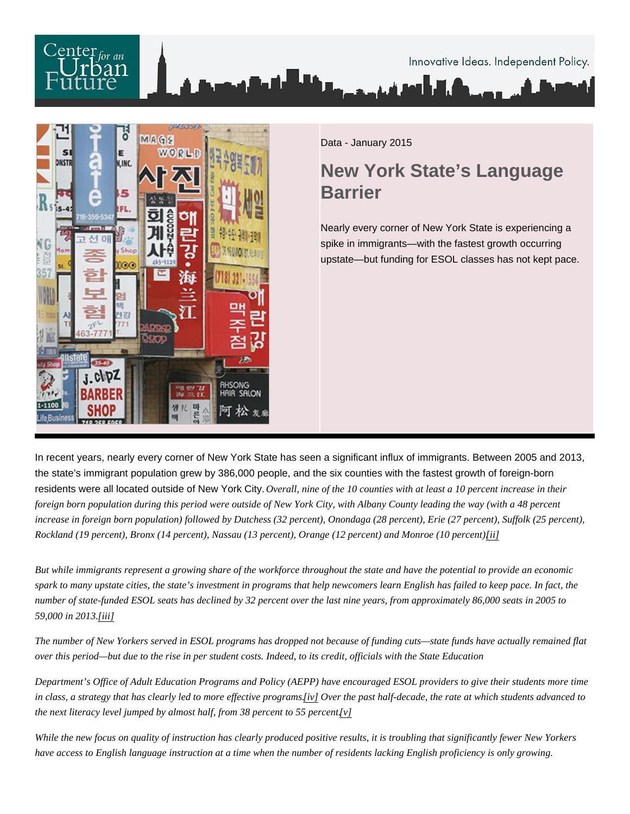Data - January 2015

## New York State's Language **Barrier**

Nearly every corner of New York State is experiencing a spike in immigrants—with the fastest growth occurring upstate—but funding for ESOL classes has not kept pace.

In recent years, nearly every corner of New York State has seen a significant influx of immigrants. Between 2005 and 2013, the state's immigrant population grew by 386,000 people, and the six counties with the fastest growth of foreign-born residents were all located outside of New York City. Overall, nine of the 10 counties with at least a 10 percent increase in their foreign born population during this period were outside of New York City, with Albany County leading the way (with a 48 percent increase in foreign born population) followed by Dutchess (32 percent), Onondaga (28 percent), Erie (27 percent), Suffolk (25 percent), Rockland (19 percent), Bronx (14 percent), Nassau (13 percent), Orange (12 percent) and Monroe (10 percent).

But while immigrants represent a growing share of the workforce throughout the state and have the potential to provide an economic spark to many upstate cities, the state's investment in programs that help newcomers learn English has failed to keep pace. In fact, the number of state-funded ESOL seats has declined by 32 percent over the last nine years, from approximately 86,000 seats in 2005 to 59,000 in 2013iii]

The number of New Yorkers served in ESOL programs has dropped not because of funding cuts—state funds have actually remained over this period—but due to the rise in per student costs. Indeed, to its credit, officials with the State Education

Department's Office of Adult Education Programs and Policy (AEPP) have encouraged ESOL providers to give their students more tin in class, a strategy that has clearly led to more effective program Swer the past half-decade, the rate at which students advanced to the next literacy level jumped by almost half, from 38 percent to 55 percent.

While the new focus on quality of instruction has clearly produced positive results, it is troubling that significantly fewer New Yorkers have access to English language instruction at a time when the number of residents lacking English proficiency is only growing.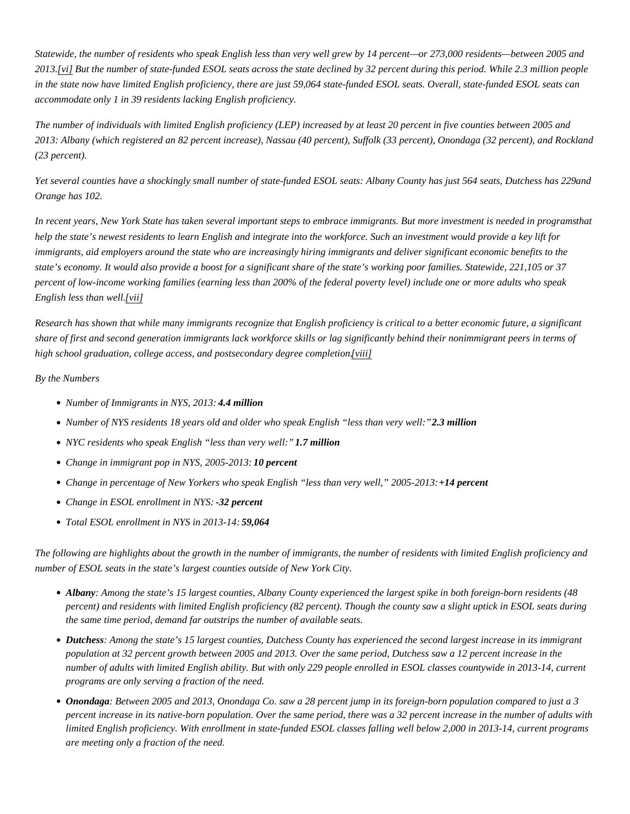Statewide, the number of residents who speak English less than very well grew by 14 percent—or 273,000 residents—between 2005 2013[vi] But the number of state-funded ESOL seats across the state declined by 32 percent during this period. While 2.3 million people in the state now have limited English proficiency, there are just 59,064 state-funded ESOL seats. Overall, state-funded ESOL seats ca accommodate only 1 in 39 residents lacking English proficiency.

The number of individuals with limited English proficiency (LEP) increased by at least 20 percent in five counties between 2005 and 2013: Albany (which registered an 82 percent increase), Nassau (40 percent), Suffolk (33 percent), Onondaga (32 percent), and Rock (23 percent).

Yet several counties have a shockingly small number of state-funded ESOL seats: Albany County has just 564 seats, Dutainess has 2 Orange has 102.

In recent years, New York State has taken several important steps to embrace immigrants. But more investment is needed hat program help the state's newest residents to learn English and integrate into the workforce. Such an investment would provide a key lift for immigrants, aid employers around the state who are increasingly hiring immigrants and deliver significant economic benefits to the state's economy. It would also provide a boost for a significant share of the state's working poor families. Statewide, 221,105 or 37 percent of low-income working families (earning less than 200% of the federal poverty level) include one or more adults who speak English less than we will

Research has shown that while many immigrants recognize that English proficiency is critical to a better economic future, a significant share of first and second generation immigrants lack workforce skills or lag significantly behind their nonimmigrant peers in terms of high school graduation, college access, and postsecondary degree conprigition.

By the Numbers

- Number of Immigrants in NYS, 201434 million
- Number of NYS residents 18 years old and older who speak English "less than very welliflion
- NYC residents who speak English "less than very well?" million
- Change in immigrant pop in NYS, 2005-20103 percent
- Change in percentage of New Yorkers who speak English "less than very well," 2005-240 percent
- Change in ESOL enrollment in NYS2 percent
- Total ESOL enrollment in NYS in 2013-59;064

The following are highlights about the growth in the number of immigrants, the number of residents with limited English proficiency and number of ESOL seats in the state's largest counties outside of New York City.

- Albany: Among the state's 15 largest counties, Albany County experienced the largest spike in both foreign-born residents (48 percent) and residents with limited English proficiency (82 percent). Though the county saw a slight uptick in ESOL seats durin the same time period, demand far outstrips the number of available seats.
- Dutchess Among the state's 15 largest counties, Dutchess County has experienced the second largest increase in its immigrant population at 32 percent growth between 2005 and 2013. Over the same period, Dutchess saw a 12 percent increase in the number of adults with limited English ability. But with only 229 people enrolled in ESOL classes countywide in 2013-14, current programs are only serving a fraction of the need.
- Onondaga Between 2005 and 2013, Onondaga Co. saw a 28 percent jump in its foreign-born population compared to just a 3 percent increase in its native-born population. Over the same period, there was a 32 percent increase in the number of adults w limited English proficiency. With enrollment in state-funded ESOL classes falling well below 2,000 in 2013-14, current programs are meeting only a fraction of the need.